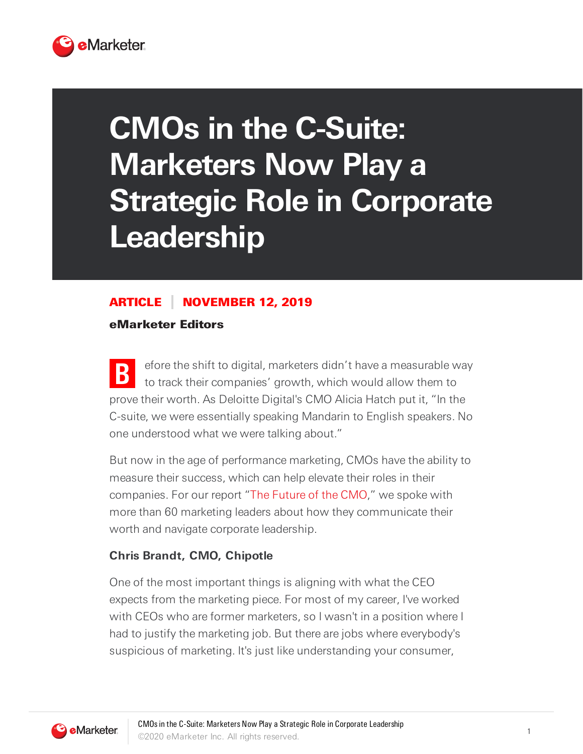

# **CMOs in the C-Suite: Marketers Now Play a Strategic Role in Corporate Leadership**

# ARTICLE NOVEMBER 12, 2019

eMarketer Editors

**B** efore the shift to digital, marketers didn't have a measurable way to track their companies' growth, which would allow them to prove their worth. As Deloitte Digital's CMO Alicia Hatch put it, "In the C-suite, we were essentially speaking Mandarin to English speakers. No one understood what we were talking about."

But now in the age of performance marketing, CMOs have the ability to measure their success, which can help elevate their roles in their companies. For our report "The Future of the CMO," we spoke with more than 60 marketing leaders about how they communicate their worth and navigate corporate leadership.

#### **Chris Brandt, CMO, Chipotle**

One of the most important things is aligning with what the CEO expects from the marketing piece. For most of my career, I've worked with CEOs who are former marketers, so I wasn't in a position where I had to justify the marketing job. But there are jobs where everybody's suspicious of marketing. It's just like understanding your consumer,

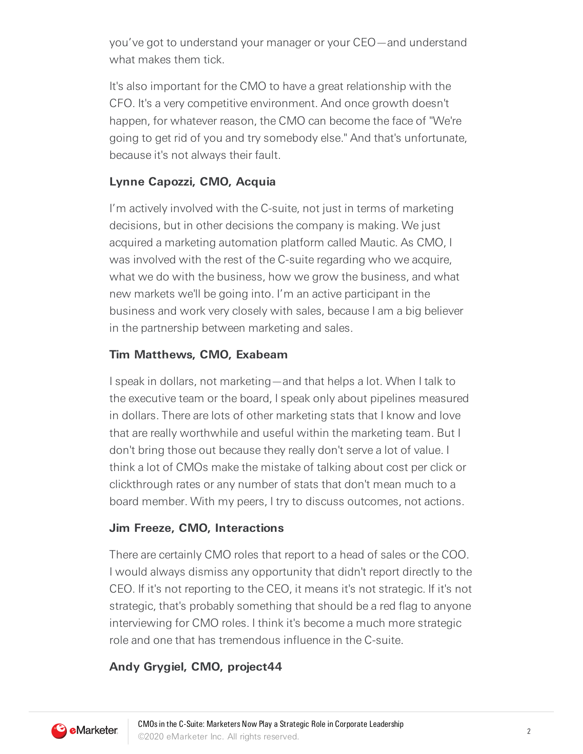you've got to understand your manager or your CEO—and understand what makes them tick.

It's also important for the CMO to have a great relationship with the CFO. It's a very competitive environment. And once growth doesn't happen, for whatever reason, the CMO can become the face of "We're going to get rid of you and try somebody else." And that's unfortunate, because it's not always their fault.

### **Lynne Capozzi, CMO, Acquia**

I'm actively involved with the C-suite, not just in terms of marketing decisions, but in other decisions the company is making. We just acquired a marketing automation platform called Mautic. As CMO, I was involved with the rest of the C-suite regarding who we acquire, what we do with the business, how we grow the business, and what new markets we'll be going into. I'm an active participant in the business and work very closely with sales, because I am a big believer in the partnership between marketing and sales.

#### **Tim Matthews, CMO, Exabeam**

I speak in dollars, not marketing—and that helps a lot. When I talk to the executive team or the board, I speak only about pipelines measured in dollars. There are lots of other marketing stats that I know and love that are really worthwhile and useful within the marketing team. But I don't bring those out because they really don't serve a lot of value. I think a lot of CMOs make the mistake of talking about cost per click or clickthrough rates or any number of stats that don't mean much to a board member. With my peers, I try to discuss outcomes, not actions.

#### **Jim Freeze, CMO, Interactions**

There are certainly CMO roles that report to a head of sales or the COO. I would always dismiss any opportunity that didn't report directly to the CEO. If it's not reporting to the CEO, it means it's not strategic. If it's not strategic, that's probably something that should be a red flag to anyone interviewing for CMO roles. I think it's become a much more strategic role and one that has tremendous influence in the C-suite.

## **Andy Grygiel, CMO, project44**